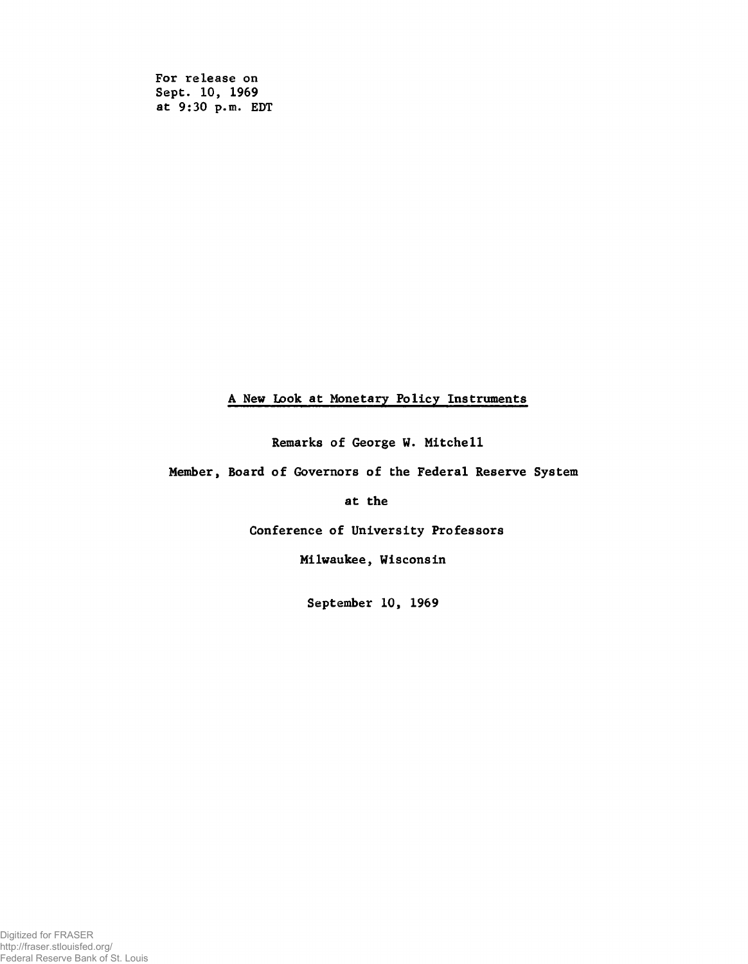For release on Sept. 10, 1969 at 9:30 p.m. EDT

## A New Look at Monetary Policy Instruments

Remarks of George W. Mitchell

Member, Board of Governors of the Federal Reserve System

at the

Conference of University Professors

Milwaukee, Wisconsin

September 10, 1969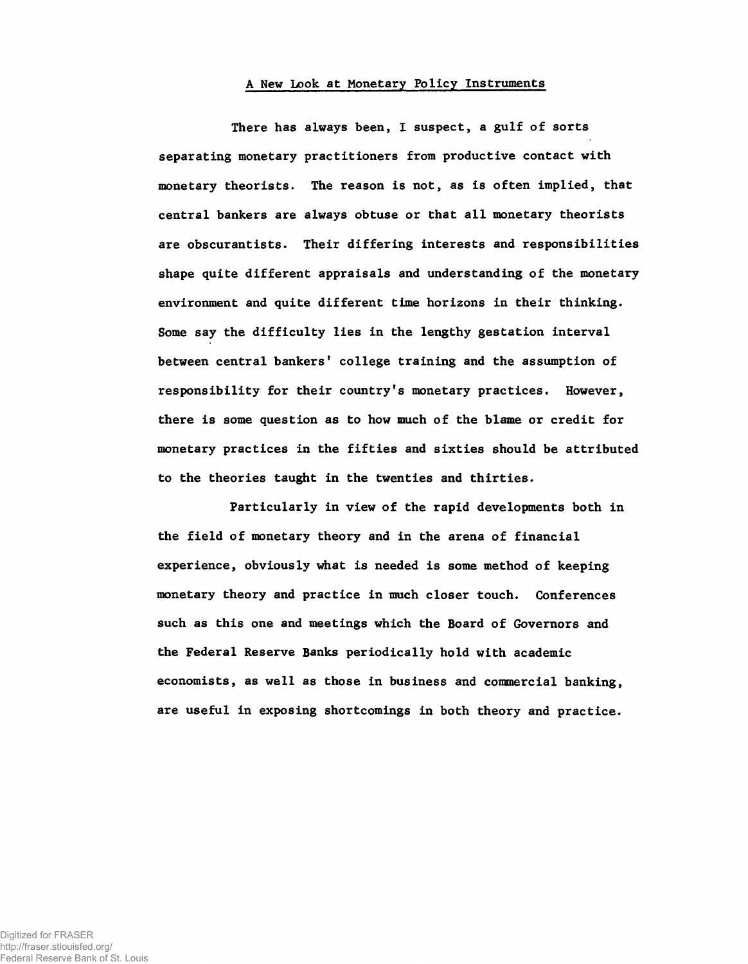## A New Look at Monetary Policy Instruments

There has always been, I suspect, a gulf of sorts separating monetary practitioners from productive contact with monetary theorists. The reason is not, as is often implied, that central bankers are always obtuse or that all monetary theorists are obscurantists. Their differing interests and responsibilities shape quite different appraisals and understanding of the monetary environment and quite different time horizons in their thinking. Some say the difficulty lies in the lengthy gestation interval between central bankers' college training and the assumption of responsibility for their country's monetary practices. However, there is some question as to how much of the blame or credit for monetary practices in the fifties and sixties should be attributed to the theories taught in the twenties and thirties.

Particularly in view of the rapid developments both in the field of monetary theory and in the arena of financial experience, obviously what is needed is some method of keeping monetary theory and practice in much closer touch. Conferences such as this one and meetings which the Board of Governors and the Federal Reserve Banks periodically hold with academic economists, as well as those in business and commercial banking, are useful in exposing shortcomings in both theory and practice.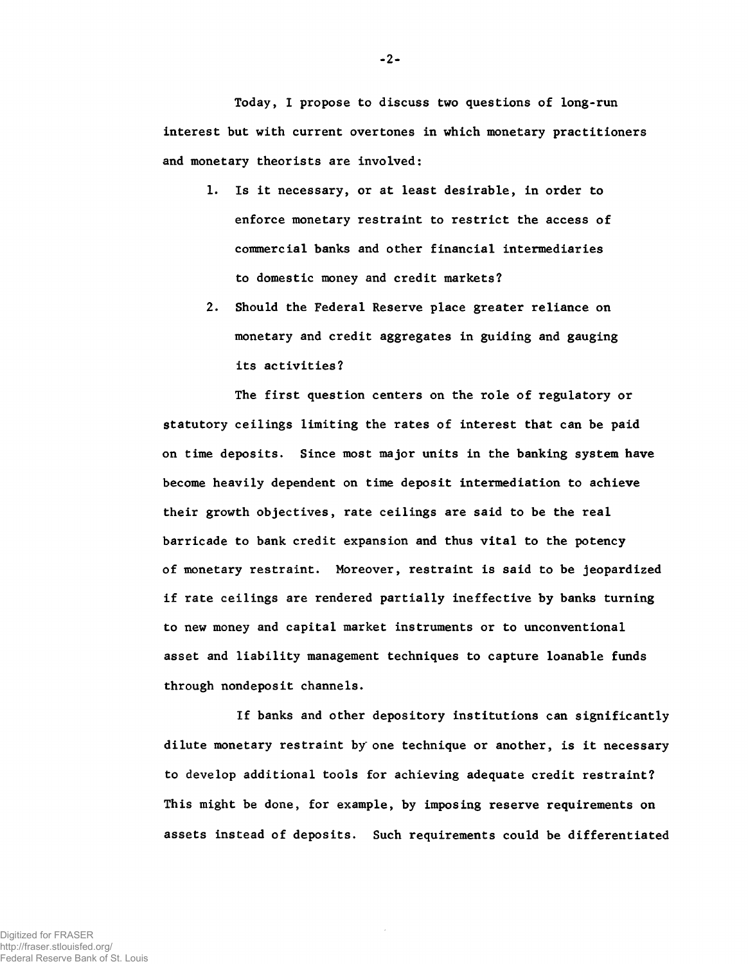Today, I propose to discuss two questions of long-run interest but with current overtones in which monetary practitioners and monetary theorists are involved:

- 1. Is it necessary, or at least desirable, in order to enforce monetary restraint to restrict the access of commercial banks and other financial intermediaries to domestic money and credit markets?
- 2. Should the Federal Reserve place greater reliance on monetary and credit aggregates in guiding and gauging its activities?

The first question centers on the role of regulatory or statutory ceilings limiting the rates of interest that can be paid on time deposits. Since most major units in the banking system have become heavily dependent on time deposit intermediation to achieve their growth objectives, rate ceilings are said to be the real barricade to bank credit expansion and thus vital to the potency of monetary restraint. Moreover, restraint is said to be jeopardized if rate ceilings are rendered partially ineffective by banks turning to new money and capital market instruments or to unconventional asset and liability management techniques to capture loanable funds through nondeposit channels.

If banks and other depository institutions can significantly dilute monetary restraint by one technique or another, is it necessary to develop additional tools for achieving adequate credit restraint? This might be done, for example, by imposing reserve requirements on assets instead of deposits. Such requirements could be differentiated

-2-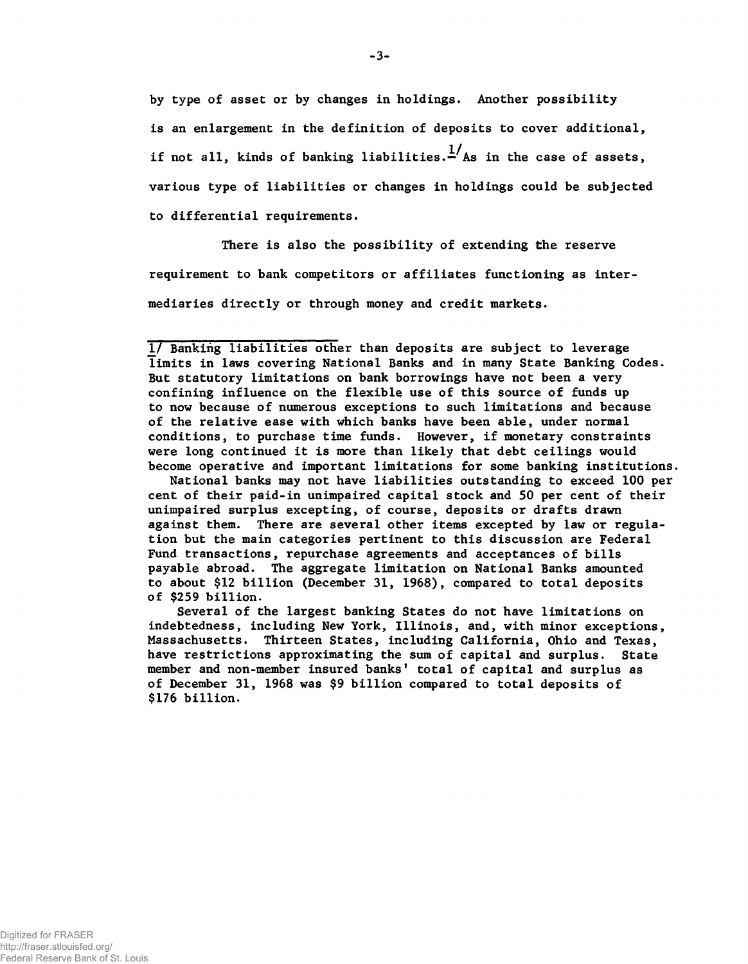by type of asset or by changes in holdings. Another possibility is an enlargement in the definition of deposits to cover additional, if not all, kinds of banking liabilities. $\frac{1}{x}$  As in the case of assets. various type of liabilities or changes in holdings could be subjected to differential requirements.

There is also the possibility of extending the reserve requirement to bank competitors or affiliates functioning as intermediaries directly or through money and credit markets.

National banks may not have liabilities outstanding to exceed 100 per cent of their paid-in unimpaired capital stock and 50 per cent of their unimpaired surplus excepting, of course, deposits or drafts drawn against them. There are several other items excepted by law or regulation but the main categories pertinent to this discussion are Federal Fund transactions, repurchase agreements and acceptances of bills payable abroad. The aggregate limitation on National Banks amounted to about \$12 billion (December 31, 1968), compared to total deposits of \$259 billion.

Several of the largest banking States do not have limitations on indebtedness, including New York, Illinois, and, with minor exceptions, Massachusetts. Thirteen States, including California, Ohio and Texas, have restrictions approximating the sum of capital and surplus. State member and non-member insured banks' total of capital and surplus as of December 31, 1968 was \$9 billion compared to total deposits of \$176 billion.

-3-

<sup>1/</sup> Banking liabilities other than deposits are subject to leverage limits in laws covering National Banks and in many State Banking Codes. But statutory limitations on bank borrowings have not been a very confining influence on the flexible use of this source of funds up to now because of numerous exceptions to such limitations and because of the relative ease with which banks have been able, under normal conditions, to purchase time funds. However, if monetary constraints were long continued it is more than likely that debt ceilings would become operative and important limitations for some banking institutions.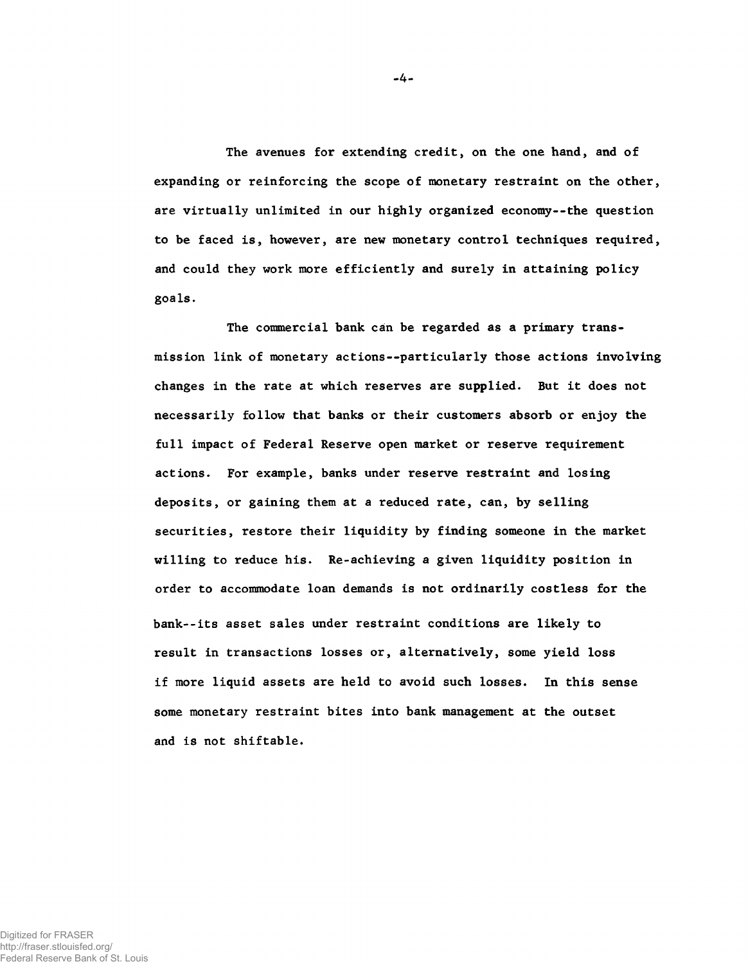The avenues for extending credit, on the one hand, and of expanding or reinforcing the scope of monetary restraint on the other, are virtually unlimited in our highly organized economy--the question to be faced is, however, are new monetary control techniques required, and could they work more efficiently and surely in attaining policy goals.

The commercial bank can be regarded as a primary transmission link of monetary actions— particularly those actions involving changes in the rate at which reserves are supplied. But it does not necessarily follow that banks or their customers absorb or enjoy the full impact of Federal Reserve open market or reserve requirement actions. For example, banks under reserve restraint and losing deposits, or gaining them at a reduced rate, can, by selling securities, restore their liquidity by finding someone in the market willing to reduce his. Re-achieving a given liquidity position in order to accommodate loan demands is not ordinarily costless for the bank--its asset sales under restraint conditions are likely to result in transactions losses or, alternatively, some yield loss if more liquid assets are held to avoid such losses. In this sense some monetary restraint bites into bank management at the outset and is not shiftable.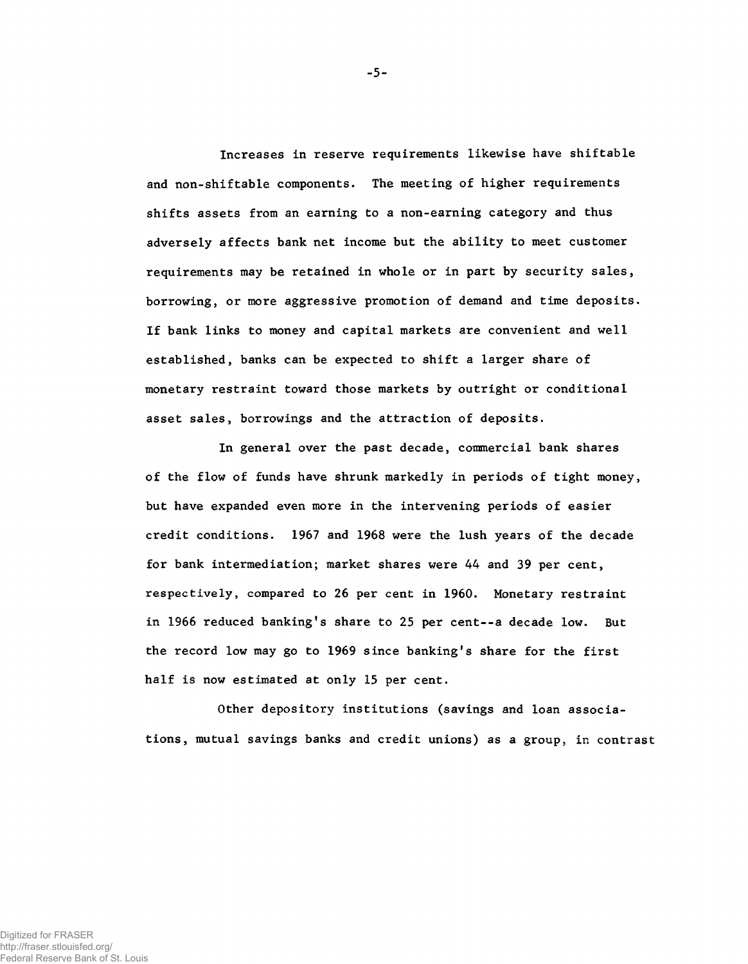Increases in reserve requirements likewise have shiftable and non-shiftable components. The meeting of higher requirements shifts assets from an earning to a non-earning category and thus adversely affects bank net income but the ability to meet customer requirements may be retained in whole or in part by security sales, borrowing, or more aggressive promotion of demand and time deposits. If bank links to money and capital markets are convenient and well established, banks can be expected to shift a larger share of monetary restraint toward those markets by outright or conditional asset sales, borrowings and the attraction of deposits.

In general over the past decade, commercial bank shares of the flow of funds have shrunk markedly in periods of tight money, but have expanded even more in the intervening periods of easier credit conditions. 1967 and 1968 were the lush years of the decade for bank intermediation; market shares were 44 and 39 per cent, respectively, compared to 26 per cent in 1960. Monetary restraint in 1966 reduced banking's share to 25 per cent--a decade low. But the record low may go to 1969 since banking's share for the first half is now estimated at only 15 per cent.

Other depository institutions (savings and loan associations, mutual savings banks and credit unions) as a group, in contrast

-5-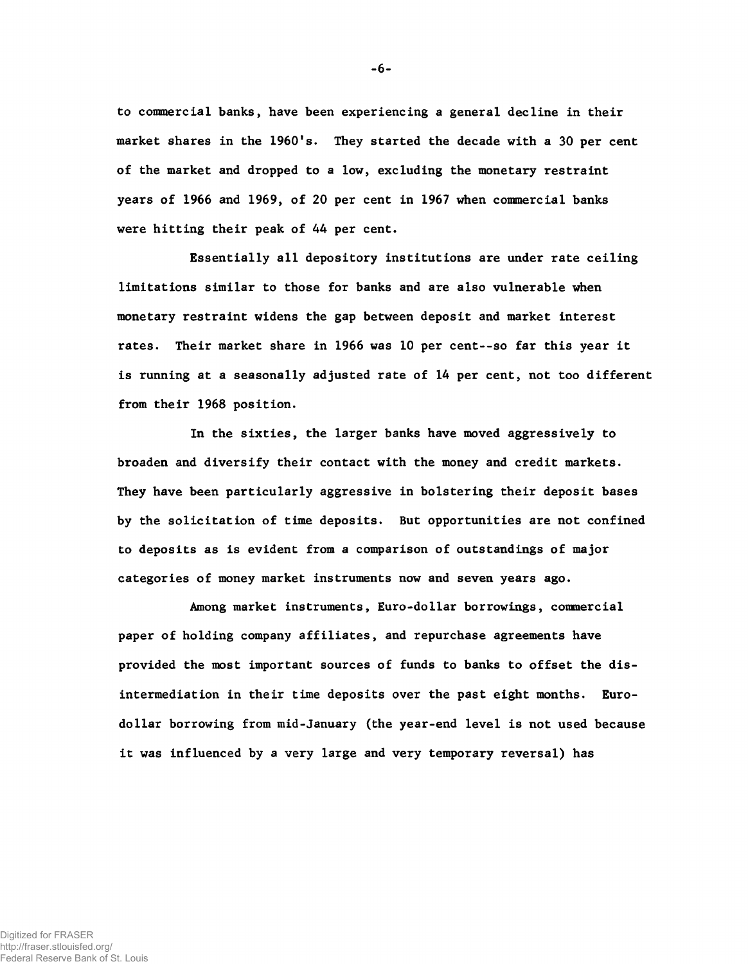to commercial banks, have been experiencing a general decline in their market shares in the 1960's. They started the decade with a 30 per cent of the market and dropped to a low, excluding the monetary restraint years of 1966 and 1969, of 20 per cent in 1967 when commercial banks were hitting their peak of 44 per cent.

Essentially all depository institutions are under rate ceiling limitations similar to those for banks and are also vulnerable when monetary restraint widens the gap between deposit and market interest rates. Their market share in 1966 was 10 per cent— so far this year it is running at a seasonally adjusted rate of 14 per cent, not too different from their 1968 position.

In the sixties, the larger banks have moved aggressively to broaden and diversify their contact with the money and credit markets. They have been particularly aggressive in bolstering their deposit bases by the solicitation of time deposits. But opportunities are not confined to deposits as is evident from a comparison of outstandings of major categories of money market instruments now and seven years ago.

Among market instruments, Euro-dollar borrowings, commercial paper of holding company affiliates, and repurchase agreements have provided the most important sources of funds to banks to offset the disintermediation in their time deposits over the past eight months. Eurodollar borrowing from mid-January (the year-end level is not used because it was influenced by a very large and very temporary reversal) has

-6-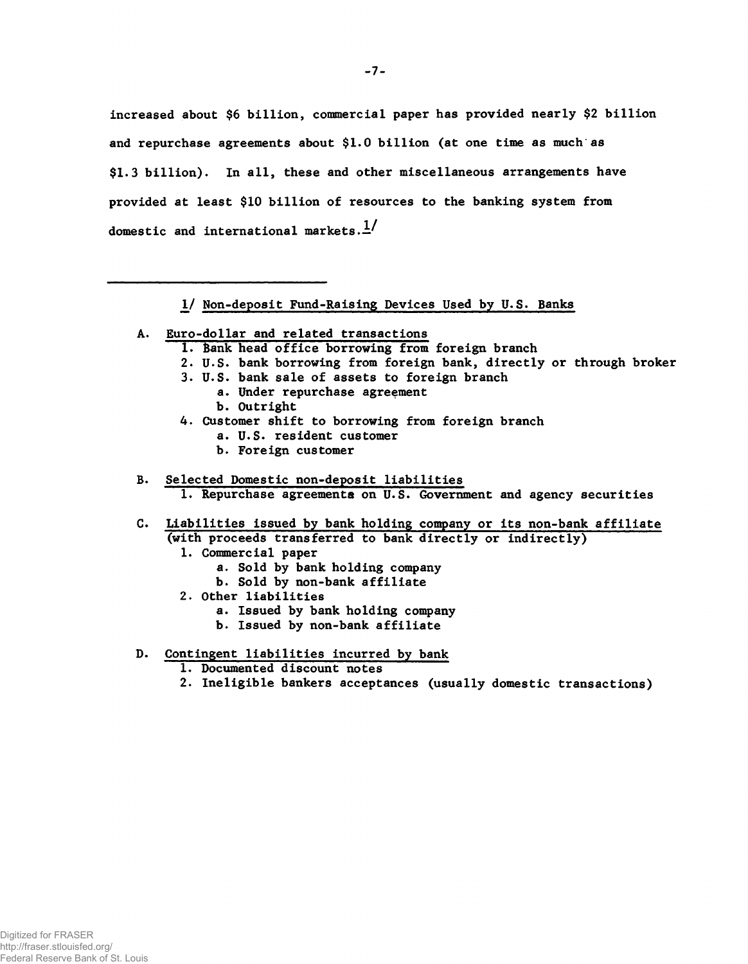increased about \$6 billion, commercial paper has provided nearly \$2 billion and repurchase agreements about \$1.0 billion (at one time as much as \$1.3 billion). In all, these and other miscellaneous arrangements have provided at least \$10 billion of resources to the banking system from domestic and international markets. $\frac{1}{4}$ 

1*J* Non-deposit Fund-Raising Devices Used by U.S. Banks

- A. Euro-dollar and related transactions
	- 1. Bank head office borrowing from foreign branch
	- 2. U.S. bank borrowing from foreign bank, directly or through broker
	- 3. U.S. bank sale of assets to foreign branch
		- a. Under repurchase agreement
		- b. Outright
	- 4. Customer shift to borrowing from foreign branch
		- a. U.S. resident customer
		- b. Foreign customer
- B. Selected Domestic non-deposit liabilities 1. Repurchase agreements on U.S. Government and agency securities
- C. Liabilities issued by bank holding company or its non-bank affiliate (with proceeds transferred to bank directly or indirectly)
	- 1. Commercial paper
		- a. Sold by bank holding company
		- b. Sold by non-bank affiliate
	- 2. Other liabilities
		- a. Issued by bank holding company
		- b. Issued by non-bank affiliate
- D. Contingent liabilities incurred by bank
	- 1. Documented discount notes
	- 2. Ineligible bankers acceptances (usually domestic transactions)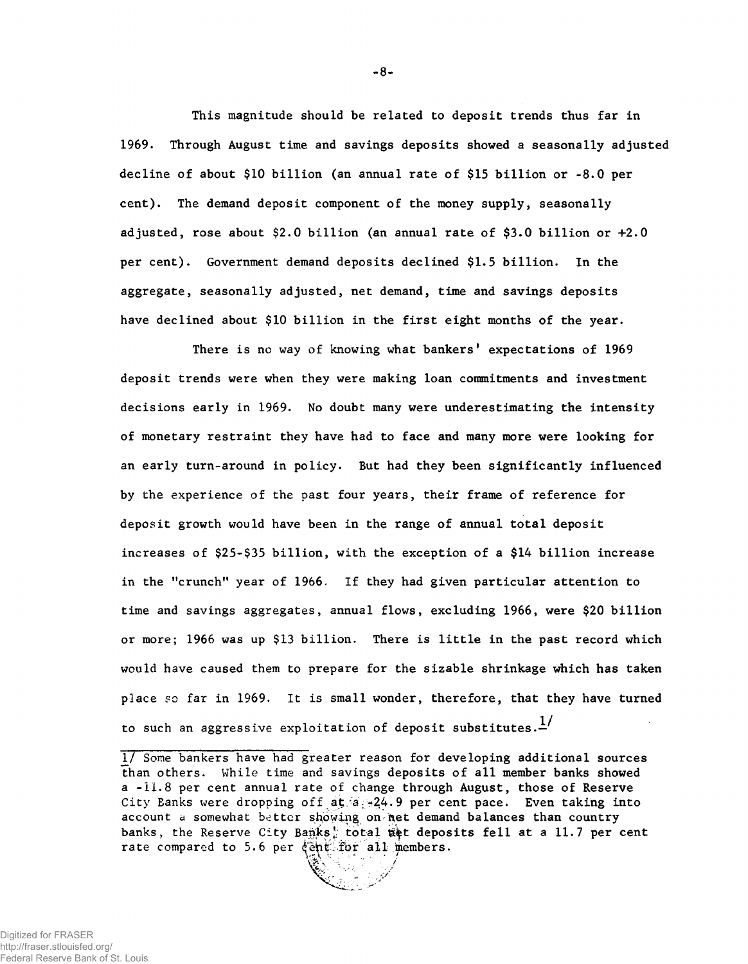This magnitude should be related to deposit trends thus far in 1969. Through August time and savings deposits showed a seasonally adjusted decline of about \$10 billion (an annual rate of \$15 billion or -8.0 per cent). The demand deposit component of the money supply, seasonally adjusted, rose about \$2.0 billion (an annual rate of \$3.0 billion or +2.0 per cent). Government demand deposits declined \$1.5 billion. In the aggregate, seasonally adjusted, net demand, time and savings deposits have declined about \$10 billion in the first eight months of the year.

There is no way of knowing what bankers' expectations of 1969 deposit trends were when they were making loan commitments and investment decisions early in 1969. No doubt many were underestimating the intensity of monetary restraint they have had to face and many more were looking for an early turn-around in policy. But had they been significantly influenced by the experience of the past four years, their frame of reference for deposit growth would have been in the range of annual total deposit increases of \$25-\$35 billion, with the exception of a \$14 billion increase in the "crunch" year of 1966. If they had given particular attention to time and savings aggregates, annual flows, excluding 1966, were \$20 billion or more; 1966 was up \$13 billion. There is little in the past record which would have caused them to prepare for the sizable shrinkage which has taken place so far in 1969. It is small wonder, therefore, that they have turned to such an aggressive exploitation of deposit substitutes. $\frac{1}{n}$ 

-8-

*<sup>1</sup>/* Some bankers have had greater reason for developing additional sources than others. While time and savings deposits of all member banks showed a -11.8 per cent annual rate of change through August, those of Reserve City Banks were dropping off at.  $-24.9$  per cent pace. Even taking into account a somewhat better showing on net demand balances than country banks, the Reserve City Banks: total set deposits fell at a 11.7 per cent rate compared to 5.6 per  $\frac{1}{2}$ ent. for all members.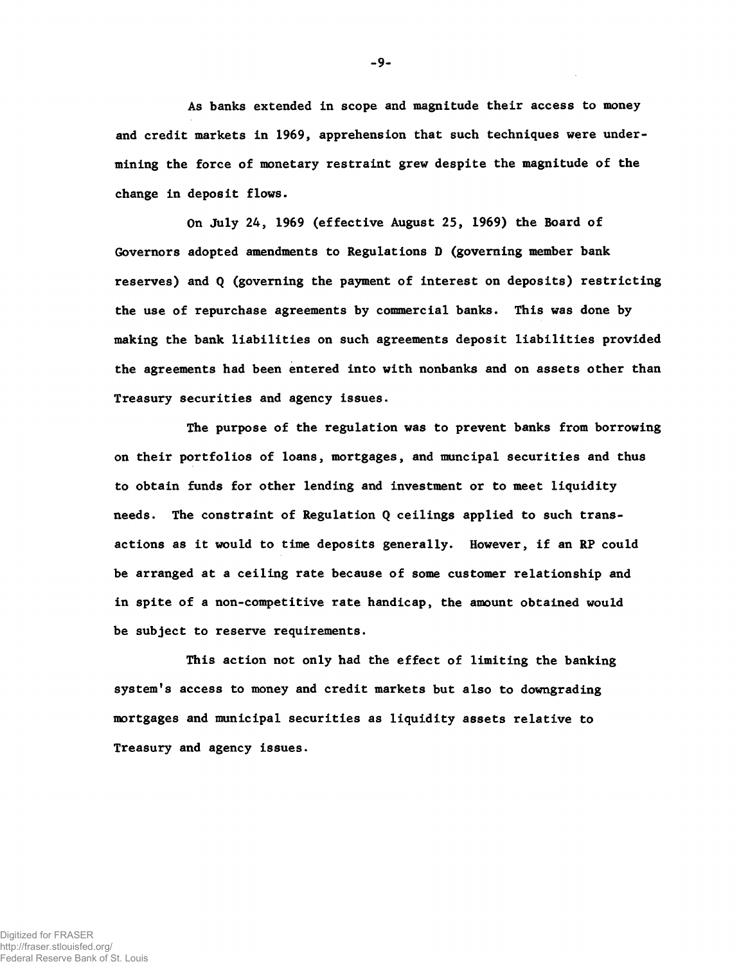As banks extended in scope and magnitude their access to money and credit markets in 1969, apprehension that such techniques were undermining the force of monetary restraint grew despite the magnitude of the change in deposit flows.

On July 24, 1969 (effective August 25, 1969) the Board of Governors adopted amendments to Regulations D (governing member bank reserves) and Q (governing the payment of interest on deposits) restricting the use of repurchase agreements by commercial banks. This was done by making the bank liabilities on such agreements deposit liabilities provided the agreements had been entered into with nonbanks and on assets other than Treasury securities and agency issues.

The purpose of the regulation was to prevent banks from borrowing on their portfolios of loans, mortgages, and muncipal securities and thus to obtain funds for other lending and investment or to meet liquidity needs. The constraint of Regulation Q ceilings applied to such transactions as it would to time deposits generally. However, if an RP could be arranged at a ceiling rate because of some customer relationship and in spite of a non-competitive rate handicap, the amount obtained would be subject to reserve requirements.

This action not only had the effect of limiting the banking system's access to money and credit markets but also to downgrading mortgages and municipal securities as liquidity assets relative to Treasury and agency issues.

- 9-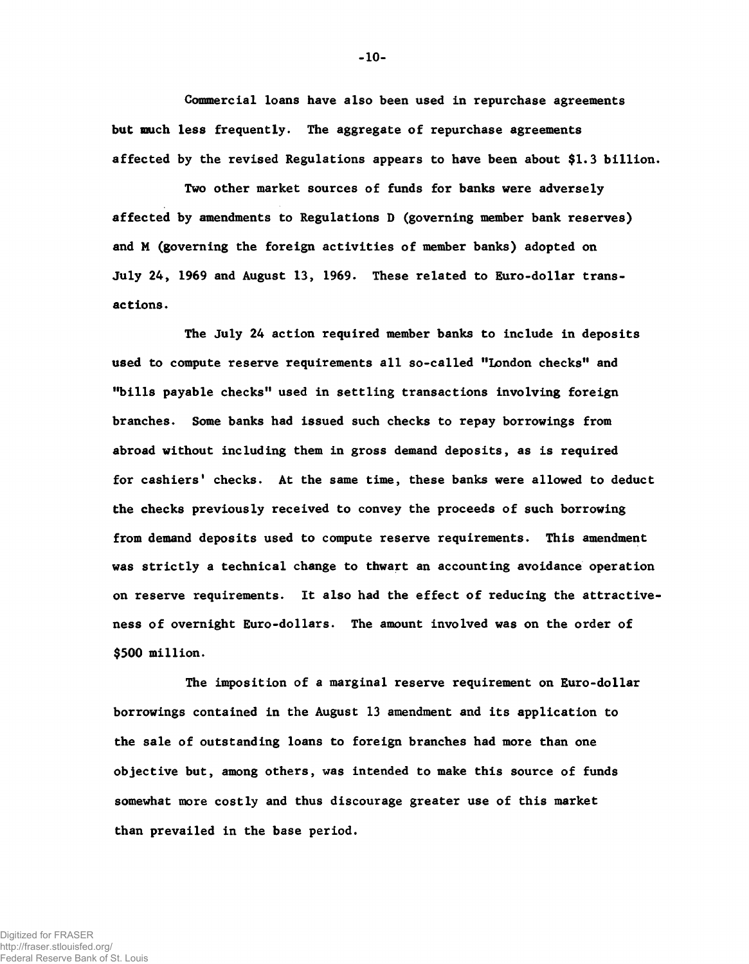Commercial loans have also been used in repurchase agreements but much less frequently. The aggregate of repurchase agreements affected by the revised Regulations appears to have been about \$1.3 billion.

Two other market sources of funds for banks were adversely affected by amendments to Regulations D (governing member bank reserves) and M (governing the foreign activities of member banks) adopted on July 24, 1969 and August 13, 1969. These related to Euro-dollar transactions .

The July 24 action required member banks to include in deposits used to compute reserve requirements all so-called "London checks" and "bills payable checks" used in settling transactions involving foreign branches. Some banks had issued such checks to repay borrowings from abroad without including them in gross demand deposits, as is required for cashiers' checks. At the same time, these banks were allowed to deduct the checks previously received to convey the proceeds of such borrowing from demand deposits used to compute reserve requirements. This amendment was strictly a technical change to thwart an accounting avoidance operation on reserve requirements. It also had the effect of reducing the attractiveness of overnight Euro-dollars. The amount involved was on the order of \$500 million.

The imposition of a marginal reserve requirement on Euro-dollar borrowings contained in the August 13 amendment and its application to the sale of outstanding loans to foreign branches had more than one objective but, among others, was intended to make this source of funds somewhat more costly and thus discourage greater use of this market than prevailed in the base period.

-10-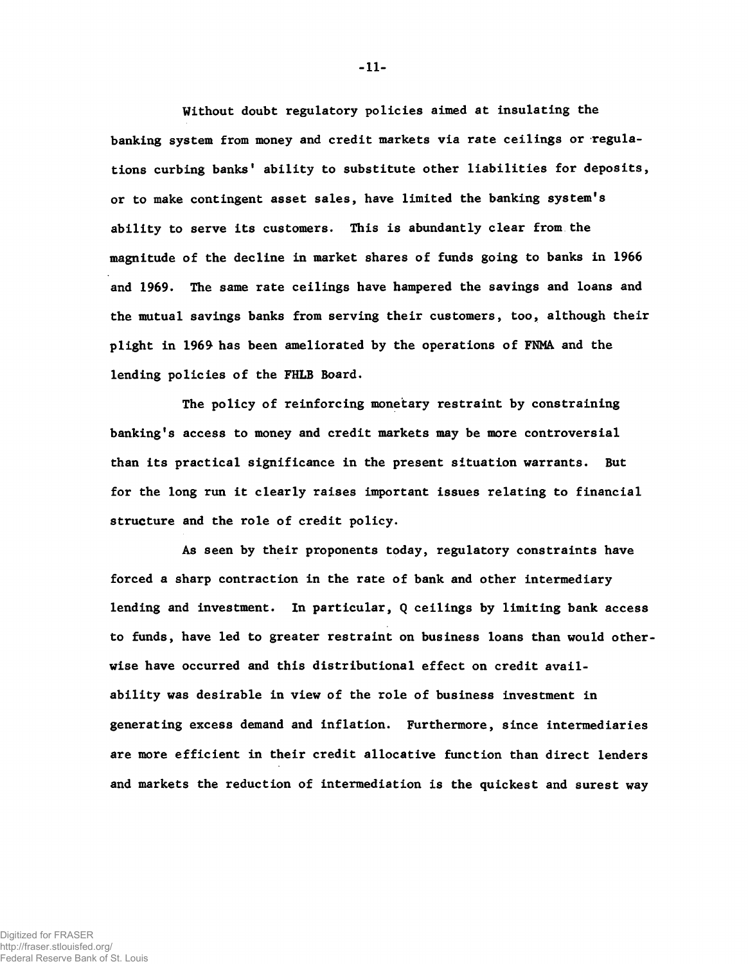Without doubt regulatory policies aimed at insulating the banking system from money and credit markets via rate ceilings or regulations curbing banks' ability to substitute other liabilities for deposits, or to make contingent asset sales, have limited the banking system's ability to serve its customers. This is abundantly clear from the magnitude of the decline in market shares of funds going to banks in 1966 and 1969. The same rate ceilings have hampered the savings and loans and the mutual savings banks from serving their customers, too, although their plight in 1969 has been ameliorated by the operations of FNMA, and the lending policies of the FHLB Board.

The policy of reinforcing monetary restraint by constraining banking's access to money and credit markets may be more controversial than its practical significance in the present situation warrants. But for the long run it clearly raises important issues relating to financial structure and the role of credit policy.

As seen by their proponents today, regulatory constraints have forced a sharp contraction in the rate of bank and other intermediary lending and investment. In particular, Q ceilings by limiting bank access to funds, have led to greater restraint on business loans than would otherwise have occurred and this distributional effect on credit availability was desirable in view of the role of business investment in generating excess demand and inflation. Furthermore, since intermediaries are more efficient in their credit allocative function than direct lenders and markets the reduction of intermediation is the quickest and surest way

-11-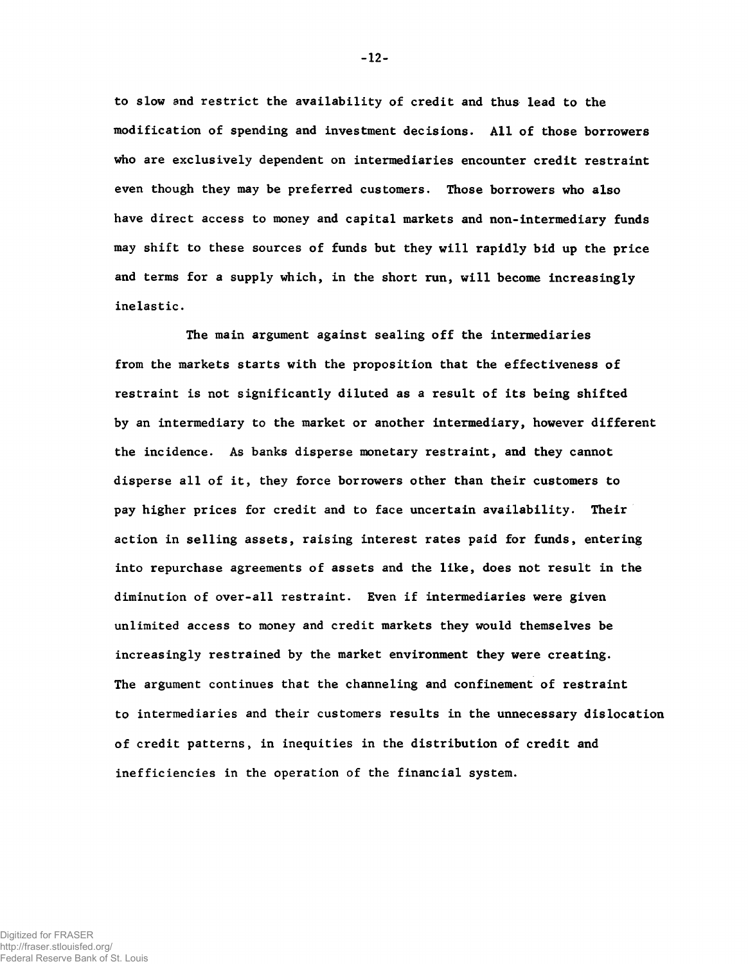to slow and restrict the availability of credit and thus lead to the modification of spending and investment decisions. All of those borrowers who are exclusively dependent on intermediaries encounter credit restraint even though they may be preferred customers. Those borrowers who also have direct access to money and capital markets and non-intermediary funds may shift to these sources of funds but they will rapidly bid up the price and terms for a supply which, in the short run, will become increasingly inelastic.

The main argument against sealing off the intermediaries from the markets starts with the proposition that the effectiveness of restraint is not significantly diluted as a result of its being shifted by an intermediary to the market or another intermediary, however different the incidence. As banks disperse monetary restraint, and they cannot disperse all of it, they force borrowers other than their customers to pay higher prices for credit and to face uncertain availability. Their action in selling assets, raising interest rates paid for funds, entering into repurchase agreements of assets and the like, does not result in the diminution of over-all restraint. Even if intermediaries were given unlimited access to money and credit markets they would themselves be increasingly restrained by the market environment they were creating. The argument continues that the channeling and confinement of restraint to intermediaries and their customers results in the unnecessary dislocation of credit patterns, in inequities in the distribution of credit and inefficiencies in the operation of the financial system.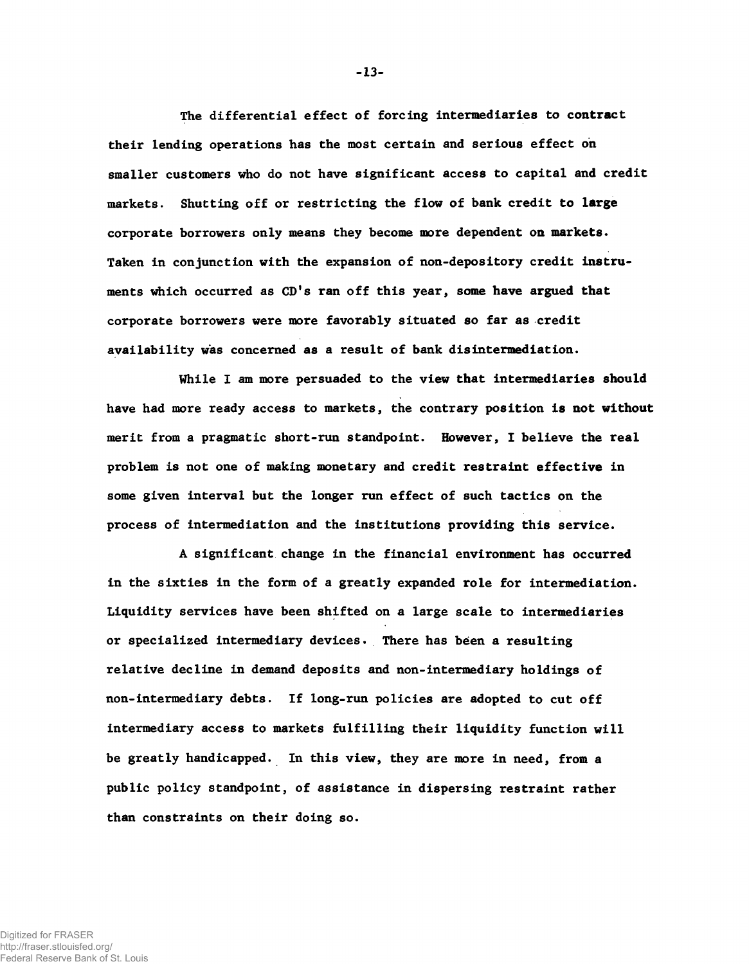The differential effect of forcing intermediaries to contract their lending operations has the most certain and serious effect on smaller customers who do not have significant access to capital and credit markets. Shutting off or restricting the flow of bank credit to large corporate borrowers only means they become more dependent on markets. Taken in conjunction with the expansion of non-depository credit instruments which occurred as CD's ran off this year, some have argued that corporate borrowers were more favorably situated so far as credit availability was concerned as a result of bank disintermediation.

While I am more persuaded to the view that intermediaries should have had more ready access to markets, the contrary position is not without merit from a pragmatic short-run standpoint. However, I believe the real problem is not one of making monetary and credit restraint effective in some given interval but the longer run effect of such tactics on the process of intermediation and the institutions providing this service.

A significant change in the financial environment has occurred in the sixties in the form of a greatly expanded role for intermediation. Liquidity services have been shifted on a large scale to intermediaries or specialized intermediary devices. There has been a resulting relative decline in demand deposits and non-intermediary holdings of non-intermediary debts. If long-run policies are adopted to cut off intermediary access to markets fulfilling their liquidity function will be greatly handicapped. In this view, they are more in need, from a public policy standpoint, of assistance in dispersing restraint rather than constraints on their doing so.

-13-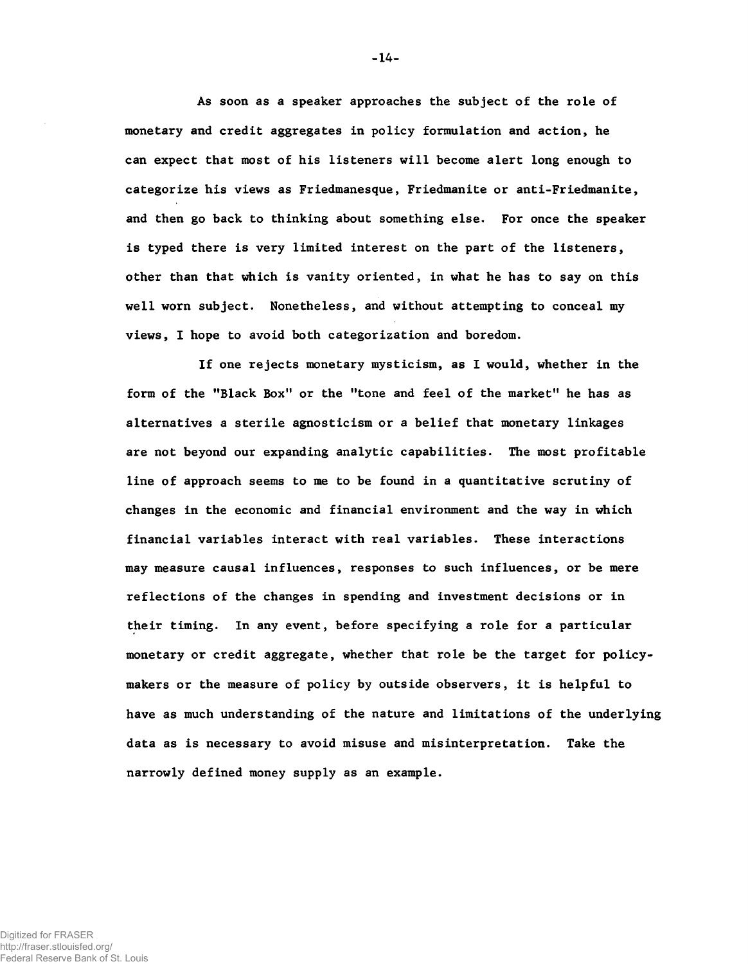As soon as a speaker approaches the subject of the role of monetary and credit aggregates in policy formulation and action, he can expect that most of his listeners will become alert long enough to categorize his views as Friedmanesque, Friedmanite or anti-Friedmanite, and then go back to thinking about something else. For once the speaker is typed there is very limited interest on the part of the listeners, other than that which is vanity oriented, in what he has to say on this well worn subject. Nonetheless, and without attempting to conceal my views, I hope to avoid both categorization and boredom.

If one rejects monetary mysticism, as I would, whether in the form of the "Black Box" or the "tone and feel of the market" he has as alternatives a sterile agnosticism or a belief that monetary linkages are not beyond our expanding analytic capabilities. The most profitable line of approach seems to me to be found in a quantitative scrutiny of changes in the economic and financial environment and the way in which financial variables interact with real variables. These interactions may measure causal influences, responses to such influences, or be mere reflections of the changes in spending and investment decisions or in their timing. In any event, before specifying a role for a particular monetary or credit aggregate, whether that role be the target for policymakers or the measure of policy by outside observers, it is helpful to have as much understanding of the nature and limitations of the underlying data as is necessary to avoid misuse and misinterpretation. Take the narrowly defined money supply as an example.

-14-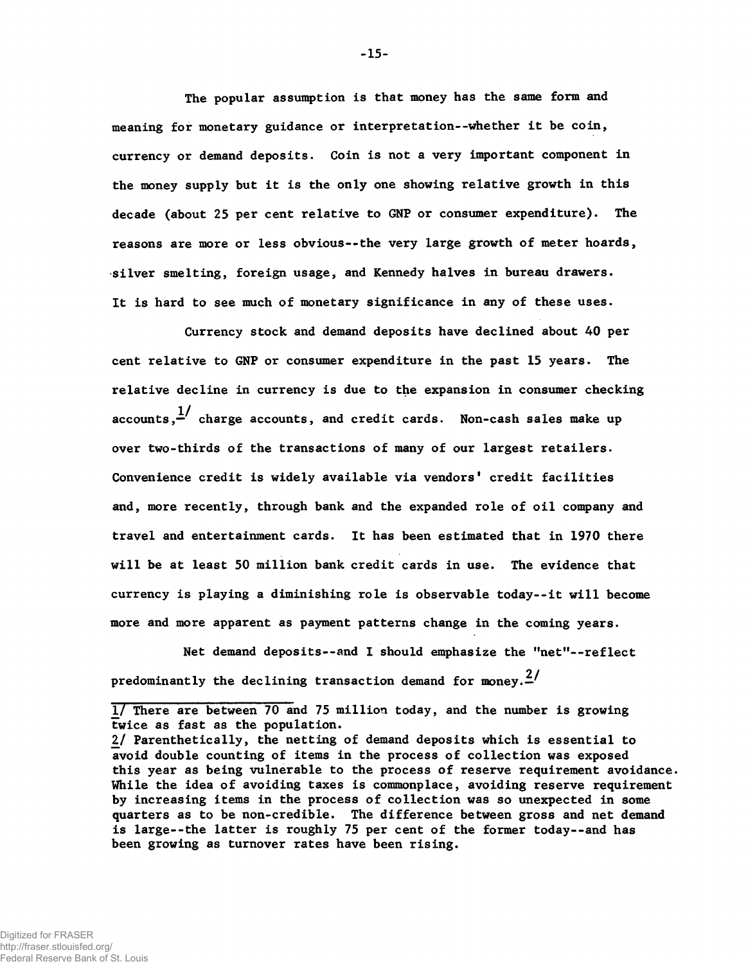The popular assumption is that money has the same form and meaning for monetary guidance or interpretation--whether it be coin, currency or demand deposits. Coin is not a very important component in the money supply but it is the only one showing relative growth in this decade (about 25 per cent relative to GNP or consumer expenditure). The reasons are more or less obvious--the very large growth of meter hoards, silver smelting, foreign usage, and Kennedy halves in bureau drawers. It is hard to see much of monetary significance in any of these uses.

Currency stock and demand deposits have declined about 40 per cent relative to GNP or consumer expenditure in the past 15 years. The relative decline in currency is due to the expansion in consumer checking accounts, $\frac{1}{2}$  charge accounts, and credit cards. Non-cash sales make up over two-thirds of the transactions of many of our largest retailers. Convenience credit is widely available via vendors' credit facilities and, more recently, through bank and the expanded role of oil company and travel and entertainment cards. It has been estimated that in 1970 there will be at least 50 million bank credit cards in use. The evidence that currency is playing a diminishing role is observable today--it will become more and more apparent as payment patterns change in the coming years.

Net demand deposits--and I should emphasize the "net"— reflect predominantly the declining transaction demand for money. $\frac{2}{r}$ 

<sup>1/</sup> There are between 70 and 75 million today, and the number is growing twice as fast as the population.

*<sup>2/</sup>* Parenthetically, the netting of demand deposits which is essential to avoid double counting of items in the process of collection was exposed this year as being vulnerable to the process of reserve requirement avoidance. While the idea of avoiding taxes is commonplace, avoiding reserve requirement by increasing items in the process of collection was so unexpected in some quarters as to be non-credible. The difference between gross and net demand is large--the latter is roughly 75 per cent of the former today--and has been growing as turnover rates have been rising.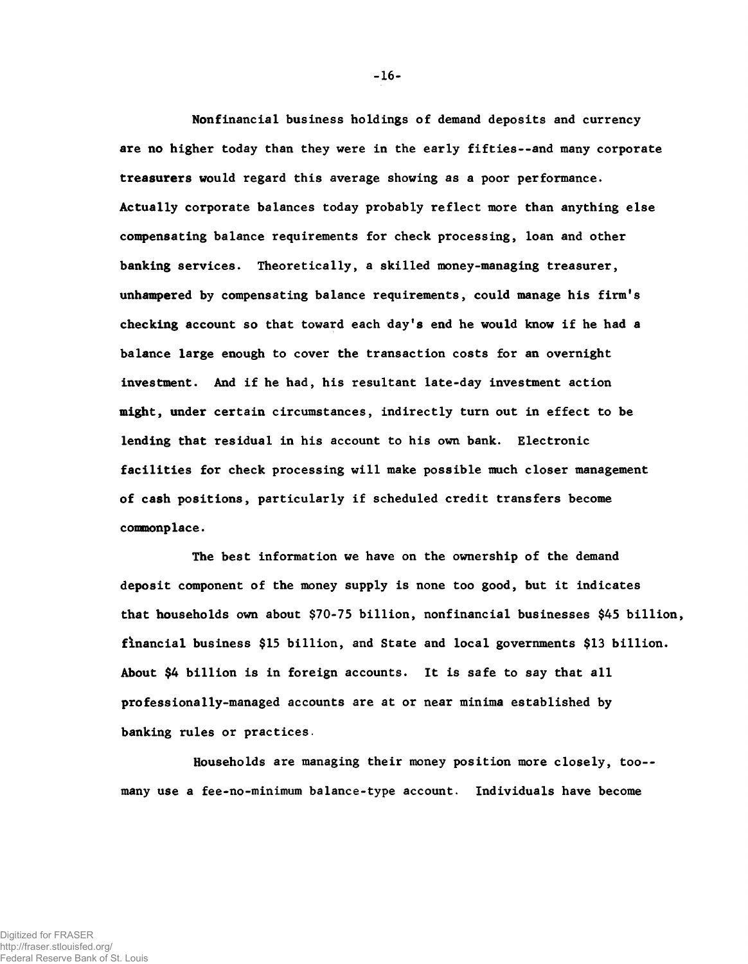Nonfinancial business holdings of demand deposits and currency are no higher today than they were in the early fifties--and many corporate treasurers would regard this average showing as a poor performance. Actually corporate balances today probably reflect more than anything else compensating balance requirements for check processing, loan and other banking services. Theoretically, a skilled money-managing treasurer, unhampered by compensating balance requirements, could manage his firm's checking account so that toward each day's end he would know if he had a balance large enough to cover the transaction costs for an overnight investment. And if he had, his resultant late-day investment action might, under certain circumstances, indirectly turn out in effect to be lending that residual in his account to his own bank. Electronic facilities for check processing will make possible much closer management of cash positions, particularly if scheduled credit transfers become commonplace.

The best information we have on the ownership of the demand deposit component of the money supply is none too good, but it indicates that households own about \$70-75 billion, nonfinancial businesses \$45 billion, financial business \$15 billion, and State and local governments \$13 billion. About \$4 billion is in foreign accounts. It is safe to say that all professionally-managed accounts are at or near minima established by banking rules or practices.

Households are managing their money position more closely, too- many use a fee-no-minimum balance-type account. Individuals have become

-16-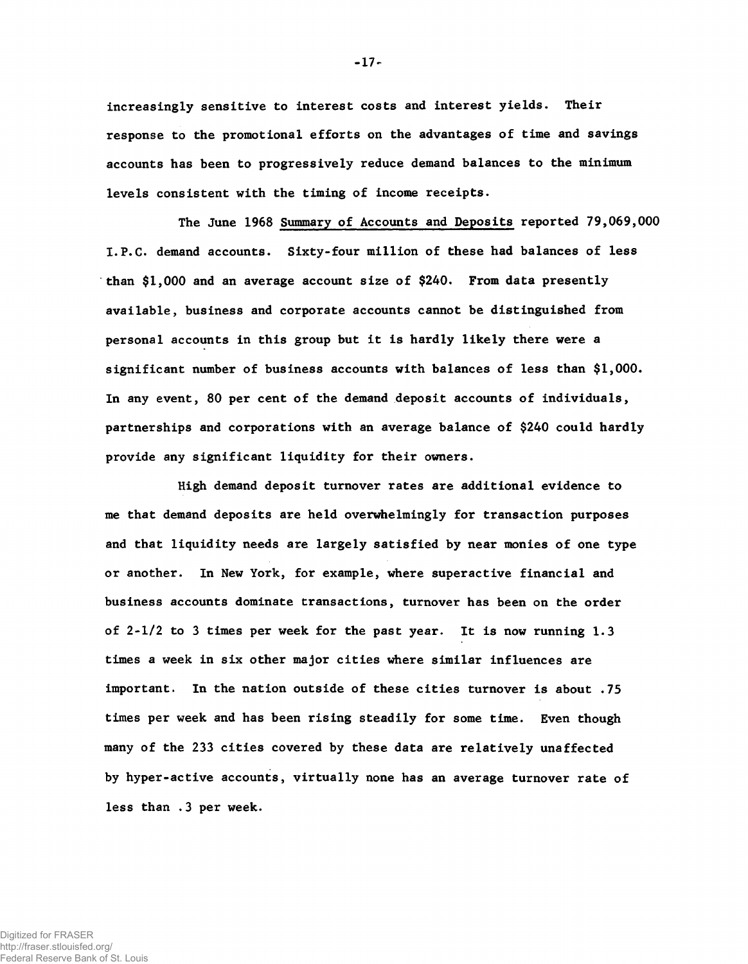increasingly sensitive to interest costs and interest yields. Their response to the promotional efforts on the advantages of time and savings accounts has been to progressively reduce demand balances to the minimum levels consistent with the timing of income receipts.

The June 1968 Summary of Accounts and Deposits reported 79,069,000 I.P.C. demand accounts. Sixty-four million of these had balances of less than \$1,000 and an average account size of \$240. From data presently available, business and corporate accounts cannot be distinguished from personal accounts in this group but it is hardly likely there were a significant number of business accounts with balances of less than \$1,000. In any event, 80 per cent of the demand deposit accounts of individuals, partnerships and corporations with an average balance of \$240 could hardly provide any significant liquidity for their owners.

High demand deposit turnover rates are additional evidence to me that demand deposits are held overwhelmingly for transaction purposes and that liquidity needs are largely satisfied by near monies of one type or another. In New York, for example, where superactive financial and business accounts dominate transactions, turnover has been on the order of 2-1/2 to 3 times per week for the past year. It is now running 1.3 times a week in six other major cities where similar influences are important. In the nation outside of these cities turnover is about .75 times per week and has been rising steadily for some time. Even though many of the 233 cities covered by these data are relatively unaffected by hyper-active accounts, virtually none has an average turnover rate of less than .3 per week.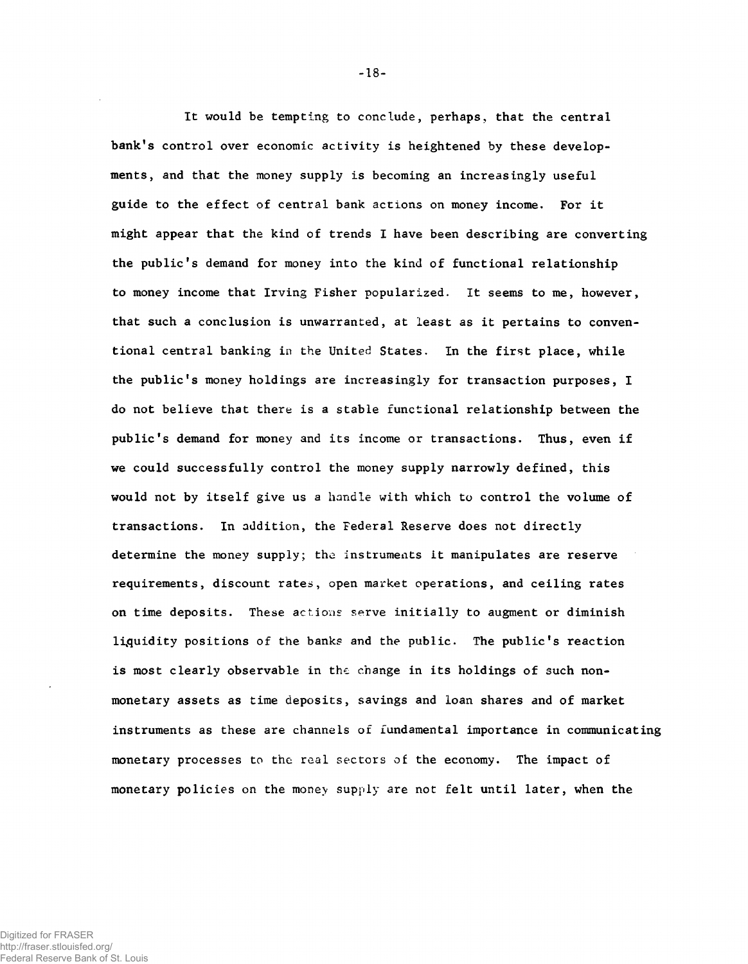It would be tempting to conclude, perhaps, that the central bank's control over economic activity is heightened by these developments, and that the money supply is becoming an increasingly useful guide to the effect of central bank actions on money income. For it might appear that the kind of trends I have been describing are converting the public's demand for money into the kind of functional relationship to money income that Irving Fisher popularized. It seems to me, however, that such a conclusion is unwarranted, at least as it pertains to conventional central banking in the United States. In the first place, while the public's money holdings are increasingly for transaction purposes, I do not believe that there is a stable functional relationship between the public's demand for money and its income or transactions. Thus, even if we could successfully control the money supply narrowly defined, this would not by itself give us a handle with which to control the volume of transactions. In addition, the Federal Reserve does not directly determine the money supply; the instruments it manipulates are reserve requirements, discount rates, open market operations, and ceiling rates on time deposits. These actions serve initially to augment or diminish liquidity positions of the banks and the public. The public's reaction is most clearly observable in the change in its holdings of such nonmonetary assets as time deposits, savings and loan shares and of market instruments as these are channels of fundamental importance in communicating monetary processes to the real sectors of the economy. The impact of monetary policies on the money supply are not felt until later, when the

Digitized for FRASER http://fraser.stlouisfed.org/ Federal Reserve Bank of St. Louis  $-18-$